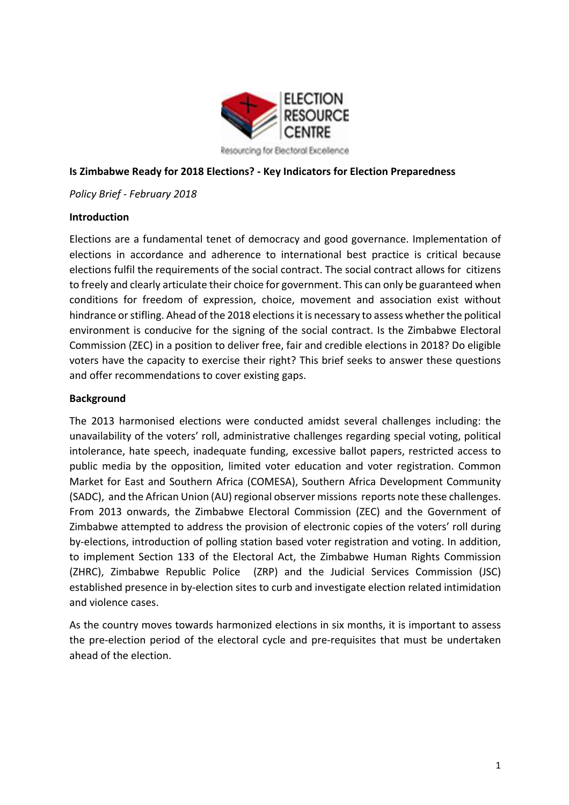

Resourcing for Electoral Excellence

### **Is Zimbabwe Ready for 2018 Elections? - Key Indicators for Election Preparedness**

*Policy Brief - February 2018*

#### **Introduction**

Elections are a fundamental tenet of democracy and good governance. Implementation of elections in accordance and adherence to international best practice is critical because elections fulfil the requirements of the social contract. The social contract allows for citizens to freely and clearly articulate their choice for government. This can only be guaranteed when conditions for freedom of expression, choice, movement and association exist without hindrance or stifling. Ahead of the 2018 elections it is necessary to assess whether the political environment is conducive for the signing of the social contract. Is the Zimbabwe Electoral Commission (ZEC) in a position to deliver free, fair and credible elections in 2018? Do eligible voters have the capacity to exercise their right? This brief seeks to answer these questions and offer recommendations to cover existing gaps.

#### **Background**

The 2013 harmonised elections were conducted amidst several challenges including: the unavailability of the voters' roll, administrative challenges regarding special voting, political intolerance, hate speech, inadequate funding, excessive ballot papers, restricted access to public media by the opposition, limited voter education and voter registration. Common Market for East and Southern Africa (COMESA), Southern Africa Development Community (SADC), and the African Union (AU) regional observer missions reports note these challenges. From 2013 onwards, the Zimbabwe Electoral Commission (ZEC) and the Government of Zimbabwe attempted to address the provision of electronic copies of the voters' roll during by-elections, introduction of polling station based voter registration and voting. In addition, to implement Section 133 of the Electoral Act, the Zimbabwe Human Rights Commission (ZHRC), Zimbabwe Republic Police (ZRP) and the Judicial Services Commission (JSC) established presence in by-election sites to curb and investigate election related intimidation and violence cases.

As the country moves towards harmonized elections in six months, it is important to assess the pre-election period of the electoral cycle and pre-requisites that must be undertaken ahead of the election.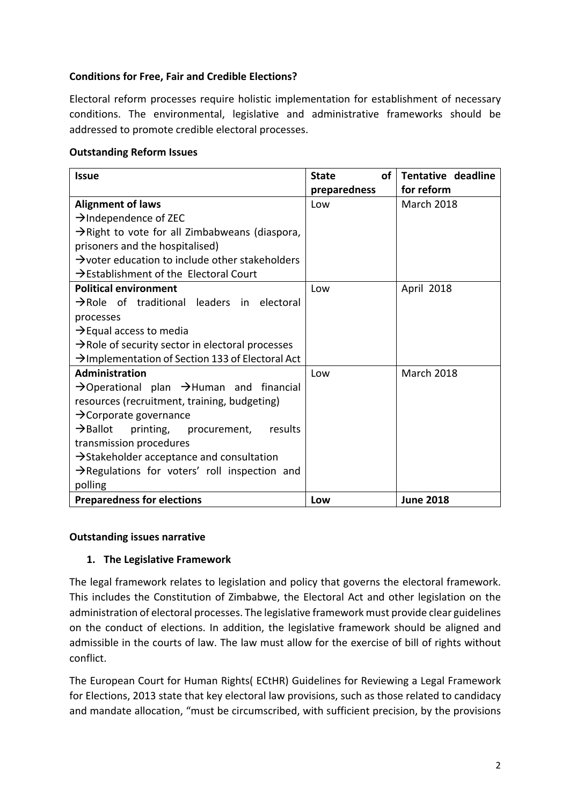## **Conditions for Free, Fair and Credible Elections?**

Electoral reform processes require holistic implementation for establishment of necessary conditions. The environmental, legislative and administrative frameworks should be addressed to promote credible electoral processes.

### **Outstanding Reform Issues**

| <b>Issue</b>                                                     | οf<br><b>State</b> | Tentative deadline |
|------------------------------------------------------------------|--------------------|--------------------|
|                                                                  | preparedness       | for reform         |
| <b>Alignment of laws</b>                                         | Low                | <b>March 2018</b>  |
| $\rightarrow$ Independence of ZEC                                |                    |                    |
| $\rightarrow$ Right to vote for all Zimbabweans (diaspora,       |                    |                    |
| prisoners and the hospitalised)                                  |                    |                    |
| $\rightarrow$ voter education to include other stakeholders      |                    |                    |
| $\rightarrow$ Establishment of the Electoral Court               |                    |                    |
| <b>Political environment</b>                                     | Low                | April 2018         |
| $\rightarrow$ Role of traditional leaders in electoral           |                    |                    |
| processes                                                        |                    |                    |
| $\rightarrow$ Equal access to media                              |                    |                    |
| $\rightarrow$ Role of security sector in electoral processes     |                    |                    |
| $\rightarrow$ Implementation of Section 133 of Electoral Act     |                    |                    |
| <b>Administration</b>                                            | Low                | <b>March 2018</b>  |
| $\rightarrow$ Operational plan $\rightarrow$ Human and financial |                    |                    |
| resources (recruitment, training, budgeting)                     |                    |                    |
| $\rightarrow$ Corporate governance                               |                    |                    |
| $\rightarrow$ Ballot<br>results<br>printing, procurement,        |                    |                    |
| transmission procedures                                          |                    |                    |
| $\rightarrow$ Stakeholder acceptance and consultation            |                    |                    |
| $\rightarrow$ Regulations for voters' roll inspection and        |                    |                    |
| polling                                                          |                    |                    |
| <b>Preparedness for elections</b>                                | Low                | <b>June 2018</b>   |

### **Outstanding issues narrative**

### 1. The Legislative Framework

The legal framework relates to legislation and policy that governs the electoral framework. This includes the Constitution of Zimbabwe, the Electoral Act and other legislation on the administration of electoral processes. The legislative framework must provide clear guidelines on the conduct of elections. In addition, the legislative framework should be aligned and admissible in the courts of law. The law must allow for the exercise of bill of rights without conflict. 

The European Court for Human Rights( ECtHR) Guidelines for Reviewing a Legal Framework for Elections, 2013 state that key electoral law provisions, such as those related to candidacy and mandate allocation, "must be circumscribed, with sufficient precision, by the provisions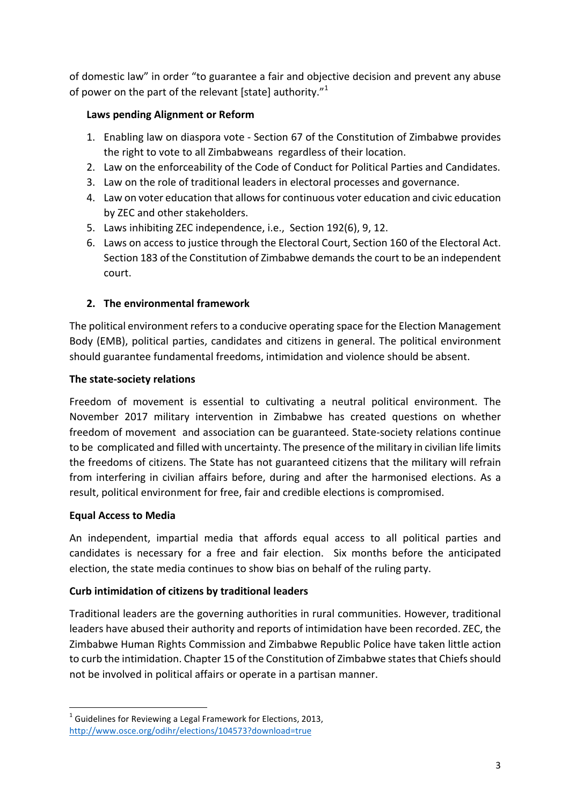of domestic law" in order "to guarantee a fair and objective decision and prevent any abuse of power on the part of the relevant [state] authority." $1$ 

## Laws pending Alignment or Reform

- 1. Enabling law on diaspora vote Section 67 of the Constitution of Zimbabwe provides the right to vote to all Zimbabweans regardless of their location.
- 2. Law on the enforceability of the Code of Conduct for Political Parties and Candidates.
- 3. Law on the role of traditional leaders in electoral processes and governance.
- 4. Law on voter education that allows for continuous voter education and civic education by ZEC and other stakeholders.
- 5. Laws inhibiting ZEC independence, i.e., Section 192(6), 9, 12.
- 6. Laws on access to justice through the Electoral Court, Section 160 of the Electoral Act. Section 183 of the Constitution of Zimbabwe demands the court to be an independent court.

# **2.** The environmental framework

The political environment refers to a conducive operating space for the Election Management Body (EMB), political parties, candidates and citizens in general. The political environment should guarantee fundamental freedoms, intimidation and violence should be absent.

### **The state-society relations**

Freedom of movement is essential to cultivating a neutral political environment. The November 2017 military intervention in Zimbabwe has created questions on whether freedom of movement and association can be guaranteed. State-society relations continue to be complicated and filled with uncertainty. The presence of the military in civilian life limits the freedoms of citizens. The State has not guaranteed citizens that the military will refrain from interfering in civilian affairs before, during and after the harmonised elections. As a result, political environment for free, fair and credible elections is compromised.

### **Equal Access to Media**

An independent, impartial media that affords equal access to all political parties and candidates is necessary for a free and fair election. Six months before the anticipated election, the state media continues to show bias on behalf of the ruling party.

# **Curb intimidation of citizens by traditional leaders**

Traditional leaders are the governing authorities in rural communities. However, traditional leaders have abused their authority and reports of intimidation have been recorded. ZEC, the Zimbabwe Human Rights Commission and Zimbabwe Republic Police have taken little action to curb the intimidation. Chapter 15 of the Constitution of Zimbabwe states that Chiefs should not be involved in political affairs or operate in a partisan manner.

<sup>&</sup>lt;u> 1989 - Johann Stein, fransk politiker (d. 1989)</u>  $^1$  Guidelines for Reviewing a Legal Framework for Elections, 2013, http://www.osce.org/odihr/elections/104573?download=true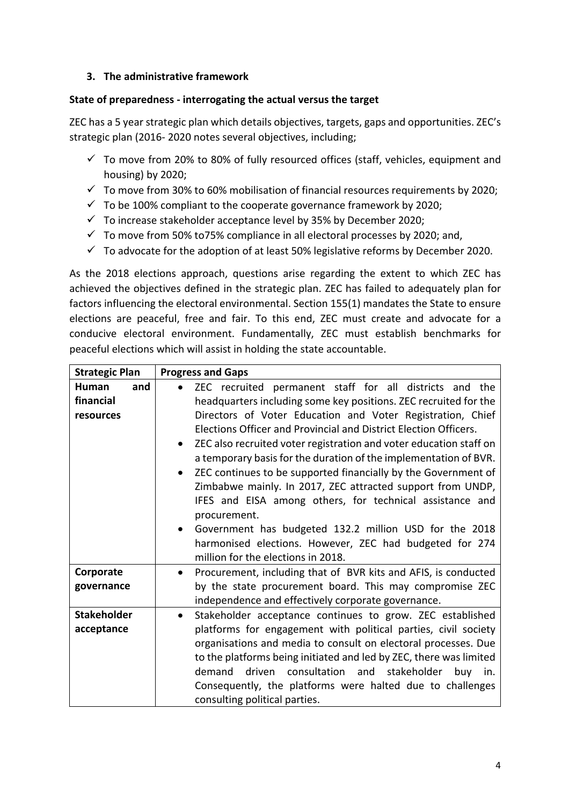### **3. The administrative framework**

### **State of preparedness - interrogating the actual versus the target**

ZEC has a 5 year strategic plan which details objectives, targets, gaps and opportunities. ZEC's strategic plan (2016-2020 notes several objectives, including;

- $\checkmark$  To move from 20% to 80% of fully resourced offices (staff, vehicles, equipment and housing) by 2020;
- $\checkmark$  To move from 30% to 60% mobilisation of financial resources requirements by 2020;
- $\checkmark$  To be 100% compliant to the cooperate governance framework by 2020;
- $\checkmark$  To increase stakeholder acceptance level by 35% by December 2020;
- $\checkmark$  To move from 50% to75% compliance in all electoral processes by 2020; and,
- $\checkmark$  To advocate for the adoption of at least 50% legislative reforms by December 2020.

As the 2018 elections approach, questions arise regarding the extent to which ZEC has achieved the objectives defined in the strategic plan. ZEC has failed to adequately plan for factors influencing the electoral environmental. Section 155(1) mandates the State to ensure elections are peaceful, free and fair. To this end, ZEC must create and advocate for a conducive electoral environment. Fundamentally, ZEC must establish benchmarks for peaceful elections which will assist in holding the state accountable.

| <b>Strategic Plan</b> | <b>Progress and Gaps</b>                                                               |  |
|-----------------------|----------------------------------------------------------------------------------------|--|
| <b>Human</b><br>and   | ZEC recruited permanent staff for all districts and the                                |  |
| financial             | headquarters including some key positions. ZEC recruited for the                       |  |
| resources             | Directors of Voter Education and Voter Registration, Chief                             |  |
|                       | Elections Officer and Provincial and District Election Officers.                       |  |
|                       | ZEC also recruited voter registration and voter education staff on                     |  |
|                       | a temporary basis for the duration of the implementation of BVR.                       |  |
|                       | ZEC continues to be supported financially by the Government of                         |  |
|                       | Zimbabwe mainly. In 2017, ZEC attracted support from UNDP,                             |  |
|                       | IFES and EISA among others, for technical assistance and                               |  |
|                       | procurement.                                                                           |  |
|                       | Government has budgeted 132.2 million USD for the 2018<br>$\bullet$                    |  |
|                       | harmonised elections. However, ZEC had budgeted for 274                                |  |
|                       | million for the elections in 2018.                                                     |  |
| Corporate             | Procurement, including that of BVR kits and AFIS, is conducted                         |  |
| governance            | by the state procurement board. This may compromise ZEC                                |  |
|                       | independence and effectively corporate governance.                                     |  |
| <b>Stakeholder</b>    | Stakeholder acceptance continues to grow. ZEC established                              |  |
| acceptance            | platforms for engagement with political parties, civil society                         |  |
|                       | organisations and media to consult on electoral processes. Due                         |  |
|                       |                                                                                        |  |
|                       | to the platforms being initiated and led by ZEC, there was limited<br>demand<br>driven |  |
|                       | consultation and stakeholder<br>buy<br>in.                                             |  |
|                       | Consequently, the platforms were halted due to challenges                              |  |
|                       | consulting political parties.                                                          |  |